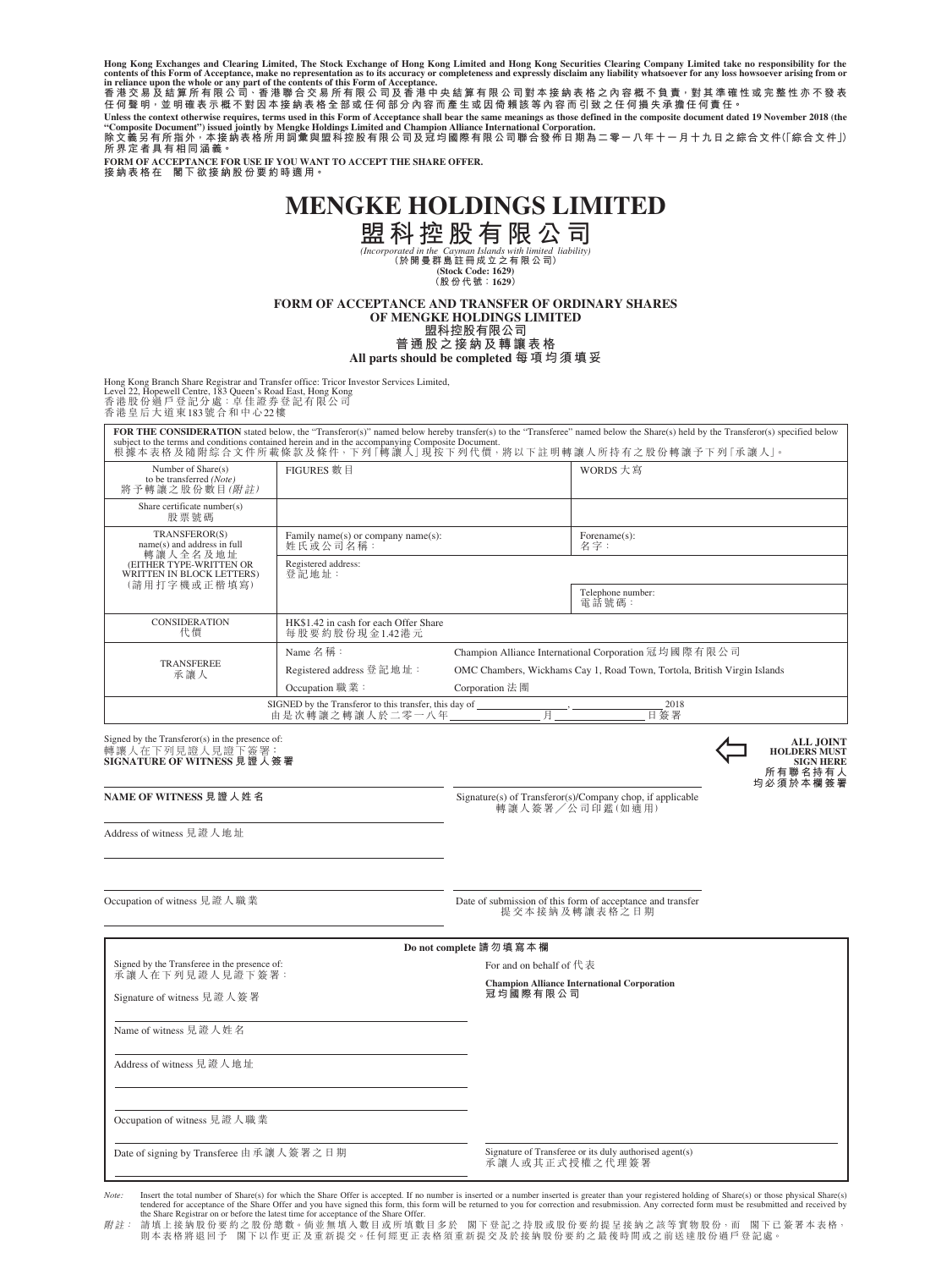Hong Kong Exchanges and Clearing Limited, The Stock Exchange of Hong Kong Limited and Hong Kong Securities Clearing Company Limited take no responsibility for the<br>contents of this Form of Acceptance, make no representatio

**任何聲明,並明確表示概不對因本接納表格全部或任何部分內容而產生或因倚賴該等內容而引致之任何損失承擔任何責任。**

Unless the context otherwise requires, terms used in this Form of Acceptance shall bear the same meanings as those defined in the composite document dated 19 November 2018 (the<br>"Composite Document") issued jointly by Meng **所界定者具有相同涵義。**

**FORM OF ACCEPTANCE FOR USE IF YOU WANT TO ACCEPT THE SHARE OFFER. 接納表格在 閣下欲接納股份要約時適用。**

# **MENGKE HOLDINGS LIMITED**

**盟科控股有限公司**<br>
(Incorporated in the Cayman Islands with limited liability)<br>
(於開曼群島註冊成立之有限公司)<br>
(Kido Code: 1629)<br>
(Rigo Cest Cale)

**FORM OF ACCEPTANCE AND TRANSFER OF ORDINARY SHARES OF MENGKE HOLDINGS LIMITED 盟科控股有限公司 普通股之接納及轉讓表格**

**All parts should be completed 每項均須填妥**

Hong Kong Branch Share Registrar and Transfer office: Tricor Investor Services Limited, Level 22, Hopewell Centre, 183 Queen's Road East, Hong Kong 香港股份過戶登記分處:卓佳證券登記有限公司 香港皇后大道東183號合和中心22樓

| FOR THE CONSIDERATION stated below, the "Transferor(s)" named below hereby transfer(s) to the "Transferee" named below the Share(s) held by the Transferor(s) specified below<br>subject to the terms and conditions contained herein and in the accompanying Composite Document.<br>根據本表格及隨附綜合文件所載條款及條件,下列「轉讓人」現按下列代價,將以下註明轉讓人所持有之股份轉讓予下列「承讓人」。 |                                                         |                                                                          |                            |  |
|--------------------------------------------------------------------------------------------------------------------------------------------------------------------------------------------------------------------------------------------------------------------------------------------------------------------------------------------------|---------------------------------------------------------|--------------------------------------------------------------------------|----------------------------|--|
| Number of Share(s)<br>to be transferred (Note)<br>將予轉讓之股份數目(附註)                                                                                                                                                                                                                                                                                  | FIGURES 數 目                                             |                                                                          | WORDS 大寫                   |  |
| Share certificate number(s)<br>股票號碼                                                                                                                                                                                                                                                                                                              |                                                         |                                                                          |                            |  |
| TRANSFEROR(S)<br>name(s) and address in full<br>轉讓人全名及地址<br>(EITHER TYPE-WRITTEN OR<br>WRITTEN IN BLOCK LETTERS)<br>(請用打字機或正楷填寫)                                                                                                                                                                                                                 | Family name(s) or company name(s):<br>姓氏或公司名稱:          |                                                                          | Forename(s):<br>名字:        |  |
|                                                                                                                                                                                                                                                                                                                                                  | Registered address:<br>登記地址:                            |                                                                          |                            |  |
|                                                                                                                                                                                                                                                                                                                                                  |                                                         |                                                                          | Telephone number:<br>電話號碼: |  |
| <b>CONSIDERATION</b><br>代價                                                                                                                                                                                                                                                                                                                       | HK\$1.42 in cash for each Offer Share<br>每股要約股份現金1.42港元 |                                                                          |                            |  |
| <b>TRANSFEREE</b><br>承讓人                                                                                                                                                                                                                                                                                                                         | Name 名稱:                                                | Champion Alliance International Corporation 冠均國際有限公司                     |                            |  |
|                                                                                                                                                                                                                                                                                                                                                  | Registered address 登記地址:                                | OMC Chambers, Wickhams Cay 1, Road Town, Tortola, British Virgin Islands |                            |  |
|                                                                                                                                                                                                                                                                                                                                                  | Occupation 職業:                                          | Corporation 法 團                                                          |                            |  |
| SIGNED by the Transferor to this transfer, this day of<br>2018<br>由是次轉讓之轉讓人於二零一八年<br>日簽署                                                                                                                                                                                                                                                         |                                                         |                                                                          |                            |  |

Signed by the Transferor(s) in the presence of: 轉讓人在下列見證人見證下簽署: **SIGNATURE OF WITNESS 見證人簽署**

**NAME OF WITNESS 見證人姓名 Signature(s) of Transferor(s)/Company chop, if applicable**<br>轉讓人簽署/公司印鑑(如適用)

**ALL JOINT<br>
<b>HOLDERS MUST<br>
SIGN HERE**<br>
所有聯名持有人<br><br>均必須於本欄簽署

Address of witness 見證人地址

Occupation of witness 見證人職業 カランド Date of submission of this form of acceptance and transfer<br>提交本接納及轉讓表格之日期

| Do not complete 請勿填寫本欄                                          |                                                                                                                                  |  |  |  |
|-----------------------------------------------------------------|----------------------------------------------------------------------------------------------------------------------------------|--|--|--|
| Signed by the Transferee in the presence of:<br>承讓人在下列見證人見證下簽署: | For and on behalf of $f \ddot{\mathcal{R}} \ddot{\mathcal{R}}$<br><b>Champion Alliance International Corporation</b><br>冠均國際有限公司 |  |  |  |
| Signature of witness 見證人簽署                                      |                                                                                                                                  |  |  |  |
| Name of witness 見證人姓名                                           |                                                                                                                                  |  |  |  |
| Address of witness 見證人地址                                        |                                                                                                                                  |  |  |  |
| Occupation of witness 見證人職業                                     |                                                                                                                                  |  |  |  |
| Date of signing by Transferee 由承讓人簽署之日期                         | Signature of Transferee or its duly authorised agent(s)<br>承讓人或其正式授權之代理簽署                                                        |  |  |  |

Note: Insert the total number of Share(s) for which the Share Offer is accepted. If no number inserted or a number inserted is greater than your registered holding of Share(s) or those physical Share(s) the chare of the S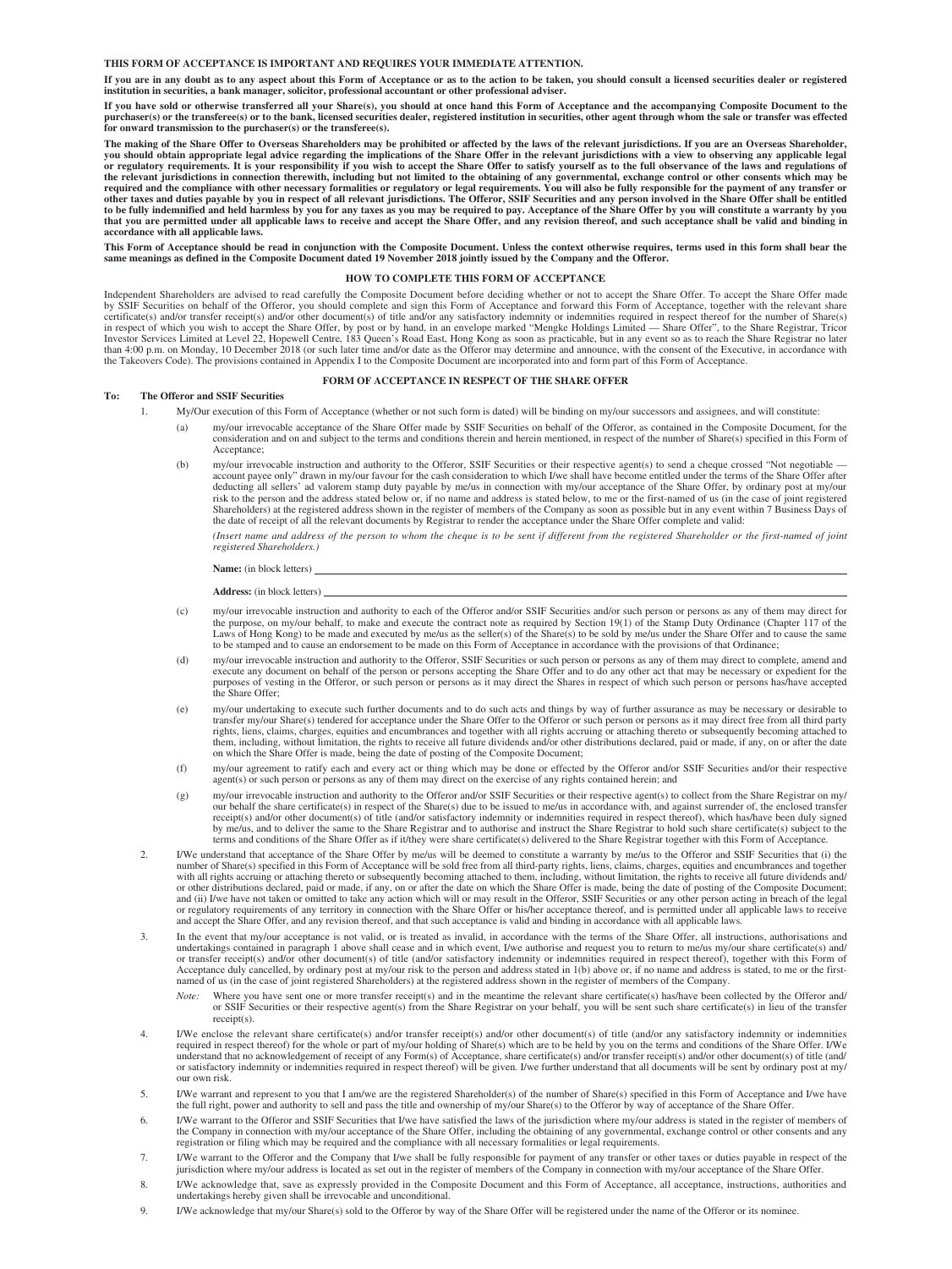#### **THIS FORM OF ACCEPTANCE IS IMPORTANT AND REQUIRES YOUR IMMEDIATE ATTENTION.**

**If you are in any doubt as to any aspect about this Form of Acceptance or as to the action to be taken, you should consult a licensed securities dealer or registered institution in securities, a bank manager, solicitor, professional accountant or other professional adviser.**

**If you have sold or otherwise transferred all your Share(s), you should at once hand this Form of Acceptance and the accompanying Composite Document to the**  purchaser(s) or the transferee(s) or to the bank, licensed securities dealer, registered institution in securities, other agent through whom the sale or transfer was effected **for onward transmission to the purchaser(s) or the transferee(s).**

**The making of the Share Offer to Overseas Shareholders may be prohibited or affected by the laws of the relevant jurisdictions. If you are an Overseas Shareholder,**  you should obtain appropriate legal advice regarding the implications of the Share Offer in the relevant jurisdictions with a view to observing any applicable legal<br>or regulatory requirements. It is your responsibility if the relevant jurisdictions in connection therewith, including but not limited to the obtaining of any governmental, exchange control or other consents which may be required and the compliance with other necessary formaliti **accordance with all applicable laws.**

This Form of Acceptance should be read in conjunction with the Composite Document. Unless the context otherwise requires, terms used in this form shall bear the<br>same meanings as defined in the Composite Document dated 19 N

#### **HOW TO COMPLETE THIS FORM OF ACCEPTANCE**

Independent Shareholders are advised to read carefully the Composite Document before deciding whether or not to accept the Share Offer. To accept the Share Offer made<br>by SSIF Securities on behalf of the Offeror, you should than 4:00 p.m. on Monday, 10 December 2018 (or such later time and/or date as the Offeror may determine and announce, with the consent of the Executive, in accordance with the Takeovers Code). The provisions contained in Appendix I to the Composite Document are incorporated into and form part of this Form of Acceptance.

#### **FORM OF ACCEPTANCE IN RESPECT OF THE SHARE OFFER**

#### **To: The Offeror and SSIF Securities**

- 1. My/Our execution of this Form of Acceptance (whether or not such form is dated) will be binding on my/our successors and assignees, and will constitute:
	- (a) my/our irrevocable acceptance of the Share Offer made by SSIF Securities on behalf of the Offeror, as contained in the Composite Document, for the consideration and on and subject to the terms and conditions therein and herein mentioned, in respect of the number of Share(s) specified in this Form of Acceptance;
	- (b) my/our irrevocable instruction and authority to the Offeror, SSIF Securities or their respective agent(s) to send a cheque crossed "Not negotiable account payee only" drawn in my/our favour for the cash consideration to which I/we shall have become entitled under the terms of the Share Offer after<br>deducting all sellers' ad valorem stamp duty payable by me/us in conne risk to the person and the address stated below or, if no name and address is stated below, to me or the first-named of us (in the case of joint registered Shareholders) at the registered address shown in the register of members of the Company as soon as possible but in any event within 7 Business Days of the date of receipt of all the relevant documents by Registrar to rende

*(Insert name and address of the person to whom the cheque is to be sent if different from the registered Shareholder or the first-named of joint registered Shareholders.)*

#### **Name:** (in block letters)

#### **Address:** (in block letters)

- (c) my/our irrevocable instruction and authority to each of the Offeror and/or SSIF Securities and/or such person or persons as any of them may direct for<br>the purpose, on my/our behalf, to make and execute the contract not Laws of Hong Kong) to be made and executed by me/us as the seller(s) of the Share(s) to be sold by me/us under the Share Offer and to cause the same to be stamped and to cause an endorsement to be made on this Form of Acceptance in accordance with the provisions of that Ordinance;
- (d) my/our irrevocable instruction and authority to the Offeror, SSIF Securities or such person or persons as any of them may direct to complete, amend and execute any document on behalf of the person or persons accepting the Share Offer and to do any other act that may be necessary or expedient for the<br>purposes of vesting in the Offeror, or such person or persons as it may d the Share Offer;
- (e) my/our undertaking to execute such further documents and to do such acts and things by way of further assurance as may be necessary or desirable to transfer my/our Share(s) tendered for acceptance under the Share Offer to the Offeror or such person or persons as it may direct free from all third party<br>rights, liens, claims, charges, equities and encumbrances and toget them, including, without limitation, the rights to receive all future dividends and/or other distributions declared, paid or made, if any, on or after the date on which the Share Offer is made, being the date of posting of the Composite Document;
- (f) my/our agreement to ratify each and every act or thing which may be done or effected by the Offeror and/or SSIF Securities and/or their respective agent(s) or such person or persons as any of them may direct on the exercise of any rights contained herein; and
- (g) my/our irrevocable instruction and authority to the Offeror and/or SSIF Securities or their respective agent(s) to collect from the Share Registrar on my/ our behalf the share certificate(s) in respect of the Share(s) due to be issued to me/us in accordance with, and against surrender of, the enclosed transfer receipt(s) and/or other document(s) of title (and/or satisfactory by me/us, and to deliver the same to the Share Registrar and to authorise and instruct the Share Registrar to hold such share certificate(s) subject to the terms and conditions of the Share Offer as if it/they were share certificate(s) delivered to the Share Registrar together with this Form of Acceptance.
- 2. I/We understand that acceptance of the Share Offer by me/us will be deemed to constitute a warranty by me/us to the Offeror and SSIF Securities that (i) the number of Share(s) specified in this Form of Acceptance will be sold free from all third-party rights, liens, claims, charges, equities and encumbrances and together<br>with all rights accruing or attaching thereto or subsequ and (ii) I/we have not taken or omitted to take any action which will or may result in the Offeror, SSIF Securities or any other person acting in breach of the legal<br>or regulatory requirements of any territory in connectio and accept the Share Offer, and any revision thereof, and that such acceptance is valid and binding in accordance with all applicable laws.
- 3. In the event that my/our acceptance is not valid, or is treated as invalid, in accordance with the terms of the Share Offer, all instructions, authorisations and undertakings contained in paragraph 1 above shall cease a or transfer receipt(s) and/or other document(s) of title (and/or satisfactory indemnity or indemnities required in respect thereof), together with this Form of<br>Acceptance duly cancelled, by ordinary post at my/our risk to
	- *Note:* Where you have sent one or more transfer receipt(s) and in the meantime the relevant share certificate(s) has/have been collected by the Offeror and/ or SSIF Securities or their respective agent(s) from the Share Registrar on your behalf, you will be sent such share certificate(s) in lieu of the transfer receipt(s).
- 4. I/We enclose the relevant share certificate(s) and/or transfer receipt(s) and/or other document(s) of title (and/or any satisfactory indemnitive or required in respect thereof) for the whole or part of my/our holding of our own risk.
- 5. I/We warrant and represent to you that I am/we are the registered Shareholder(s) of the number of Share(s) specified in this Form of Acceptance and I/we have the full right, power and authority to sell and pass the titl
- 6. I/We warrant to the Offeror and SSIF Securities that I/we have satisfied the laws of the jurisdiction where my/our address is stated in the register of members of the Company in connection with my/our acceptance of the Share Offer, including the obtaining of any governmental, exchange control or other consents and any registration or filing which may be required and the compliance w
- 7. I/We warrant to the Offeror and the Company that I/we shall be fully responsible for payment of any transfer or other taxes or duties payable in respect of the jurisdiction where my/our address is located as set out in the register of members of the Company in connection with my/our acceptance of the Share Offer.
- 8. I/We acknowledge that, save as expressly provided in the Composite Document and this Form of Acceptance, all acceptance, instructions, authorities and undertakings hereby given shall be irrevocable and unconditional.
- 9. I/We acknowledge that my/our Share(s) sold to the Offeror by way of the Share Offer will be registered under the name of the Offeror or its nominee.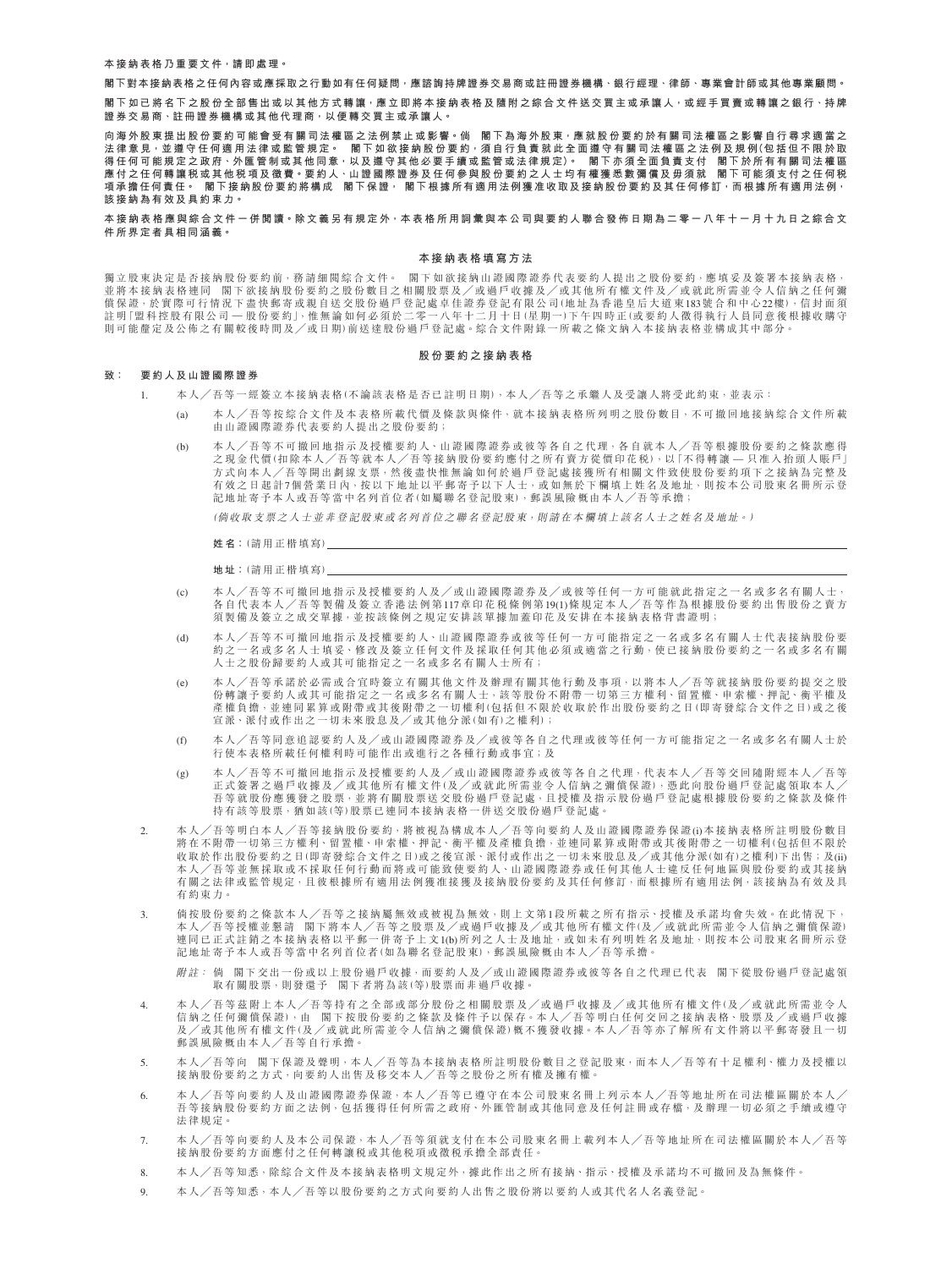**本接納表格乃重要文件,請即處理。**

**閣下對本接納表格之任何內容或應採取之行動如有任何疑問,應諮詢持牌證券交易商或註冊證券機構、銀行經理、律師、專業會計師或其他專業顧問。**

閣下如已將名下之股份全部售出或以其他方式轉讓<sup>,</sup>應立即將本接納表格及隨附之綜合文件送交買主或承讓人<sup>,</sup>或經手買賣或轉讓之銀行<sup>、</sup>持牌 **證券交易商、註冊證券機構或其他代理商,以便轉交買主或承讓人。**

**向海外股東提出股份要約可能會受有關司法權區之法例禁止或影響。倘 閣下為海外股東,應就股份要約於有關司法權區之影響自行尋求適當之** 法律意見<sup>,</sup>並 遵 守 任 何 適 用 法 律 或 監 管 規 定 。 閣 下 如 欲 接 納 股 份 要 約 <sup>,</sup>須 自 行 負 責 就 此 全 面 遵 守 有 關 司 法 權 區 之 法 例 及 規 例 (包 括 但 不 限 於 取 **得任何可能規定之政府、外匯管制或其他同意,以及遵守其他必要手續或監管或法律規定)。 閣下亦須全面負責支付 閣下於所有有關司法權區 應付之任何轉讓稅或其他稅項及徵費。要約人、山證國際證券及任何參與股份要約之人士均有權獲悉數彌償及毋須就 閣下可能須支付之任何稅 項承擔任何責任。 閣下接納股份要約將構成 閣下保證, 閣下根據所有適用法例獲准收取及接納股份要約及其任何修訂,而根據所有適用法例, 該接納為有效及具約束力。**

**本接納表格應與綜合文件一併閱讀。除文義另有規定外,本表格所用詞彙與本公司與要約人聯合發佈日期為二零一八年十一月十九日之綜合文 件所界定者具相同涵義。**

#### **本接納表格填寫方法**

獨立股東決定是否接納股份要約前,務請細閱綜合文件。 閣下如欲接納山證國際證券代表要約人提出之股份要約,應填妥及簽署本接納表格, 並將本接納表格連同 閣下欲接納股份要約之股份數目之相關股票及╱或過戶收據及╱或其他所有權文件及╱或就此所需並令人信納之任何彌 債保證,於實際可行情況下盡快郵寄或親自送交股份過戶登記處卓佳證券登記有限公司(地址為香港皇后大道東183號合和中心22樓),信封面須 註明「盟科控股有限公司 — 股份要約」,惟無論如何必須於二零一八年十二月十日(星期一)下午四時正(或要約人徵得執行人員同意後根據收購守 則可能釐定及公佈之有關較後時間及╱或日期)前送達股份過戶登記處。綜合文件附錄一所載之條文納入本接納表格並構成其中部分。

#### **股份要約之接納表格**

# **致: 要約人及山證國際證券**

- 1. 本人╱吾等一經簽立本接納表格(不論該表格是否已註明日期),本人╱吾等之承繼人及受讓人將受此約束,並表示:
	- (a) 本人/吾等按綜合文件及本表格所載代價及條款與條件,就本接納表格所列明之股份數目,不可撤回地接納綜合文件所載 由山證國際證券代表要約人提出之股份要約;
	- (b) 本人/吾等不可撤回地指示及授權要約人、山證國際證券或彼等各自之代理,各自就本人/吾等根據股份要約之條款應得 之現金代價(扣除本人╱吾等就本人╱吾等接納股份要約應付之所有賣方從價印花稅),以「不得轉讓 — 只准入抬頭人賬戶」 方式向本人/吾等開出劃線支票,然後盡快惟無論如何於過戶登記處接獲所有相關文件致使股份要約項下之接納為完整及 有效之日起計7個營業日內,按以下地址以平郵寄予以下人士,或如無於下欄填上姓名及地址,則按本公司股東名冊所示登 記地址寄予本人或吾等當中名列首位者(如屬聯名登記股東),郵誤風險概由本人╱吾等承擔;

(倘收取支票之人士並非登記股東或名列首位之聯名登記股東,則請在本欄填上該名人士之姓名及地址。)

**姓名:**(請用正楷填寫)

**地址:**(請用正楷填寫)

- (c) 本人╱吾等不可撤回地指示及授權要約人及╱或山證國際證券及╱或彼等任何一方可能就此指定之一名或多名有關人士, 各自代表本人╱吾等製備及簽立香港法例第117章印花稅條例第19(1)條規定本人╱吾等作為根據股份要約出售股份之賣方 須製備及簽立之成交單據,並按該條例之規定安排該單據加蓋印花及安排在本接納表格背書證明;
- (d) 本人╱吾等不可撤回地指示及授權要約人、山證國際證券或彼等任何一方可能指定之一名或多名有關人士代表接納股份要 約之一名或多名人士填妥、修改及簽立任何文件及採取任何其他必須或適當之行動,使已接納股份要約之一名或多名有關 人士之股份歸要約人或其可能指定之一名或多名有關人士所有;
- (e) 本人╱吾等承諾於必需或合宜時簽立有關其他文件及辦理有關其他行動及事項,以將本人╱吾等就接納股份要約提交之股 份轉讓予要約人或其可能指定之一名或多名有關人士,該等股份不附帶一切第三方權利、留置權、申索權、押記、衡平權及 產權負擔,並連同累算或附帶或其後附帶之一切權利(包括但不限於收取於作出股份要約之日(即寄發綜合文件之日)或之後 宣派、派付或作出之一切未來股息及╱或其他分派(如有)之權利);
- (f) 本人╱吾等同意追認要約人及╱或山證國際證券及╱或彼等各自之代理或彼等任何一方可能指定之一名或多名有關人士於 行使本表格所載任何權利時可能作出或進行之各種行動或事宜;及
- (g) 本人╱吾等不可撤回地指示及授權要約人及╱或山證國際證券或彼等各自之代理,代表本人╱吾等交回隨附經本人╱吾等 正式簽署之過戶收據及╱或其他所有權文件(及╱或就此所需並令人信納之彌償保證),憑此向股份過戶登記處領取本人╱ 吾等就股份應獲發之股票,並將有關股票送交股份過戶登記處,且授權及指示股份過戶登記處根據股份要約之條款及條件 持有該等股票,猶如該(等)股票已連同本接納表格一併送交股份過戶登記處。
- 2. 本人/吾等明白本人/吾等接納股份要約,將被視為構成本人/吾等向要約人及山證國際證券保證(i)本接納表格所註明股份數目 將在不附帶一切第三方權利、留置權、申索權、押記、衡平權及產權負擔,並連同累算或附帶或其後附帶之一切權利(包括但不限於 收取於作出股份要約之日(即寄發綜合文件之日)或之後宣派、派付或作出之一切未來股息及/或其他分派(如有)之權利)下出售;及(ii) 本人╱吾等並無採取或不採取任何行動而將或可能致使要約人、山證國際證券或任何其他人士違反任何地區與股份要約或其接納 有關之法律或監管規定,且彼根據所有適用法例獲准接獲及接納股份要約及其任何修訂,而根據所有適用法例,該接納為有效及具 有約束力。
- 3. 倘按股份要約之條款本人╱吾等之接納屬無效或被視為無效,則上文第1段所載之所有指示、授權及承諾均會失效。在此情況下, 本人╱吾等授權並懇請 閣下將本人╱吾等之股票及╱或過戶收據及╱或其他所有權文件(及╱或就此所需並令人信納之彌償保證) 連同已正式註銷之本接納表格以平郵一併寄予上文1(b)所列之人士及地址,或如未有列明姓名及地址,則按本公司股東名冊所示登 記地址寄予本人或吾等當中名列首位者(如為聯名登記股東),郵誤風險概由本人/吾等承擔

附註: 倘 閣下交出一份或以上股份過戶收據,而要約人及╱或山證國際證券或彼等各自之代理已代表 閣下從股份過戶登記處領 取有關股票,則發還予 閣下者將為該(等)股票而非過戶收據。

- 4. 本人/吾等茲附上本人/吾等持有之全部或部分股份之相關股票及/或過戶收據及/或其他所有權文件(及/或就此所需並令人<br>信納之任何彌償保證),由 閣下按股份要約之條款及條件予以保存。本人/吾等明白任何交回之接納表格、股票及/或過戶收據 及/或其他所有權文件(及/或就此所需並令人信納之彌償保證)概不獲發收據。本人/吾等亦了解所有文件將以平郵寄發且一切 郵誤風險概由本人╱吾等自行承擔。
- 5. 本人╱吾等向 閣下保證及聲明,本人╱吾等為本接納表格所註明股份數目之登記股東,而本人╱吾等有十足權利、權力及授權以 接納股份要約之方式,向要約人出售及移交本人╱吾等之股份之所有權及擁有權。
- 本人╱吾等向要約人及山證國際證券保證,本人╱吾等已遵守在本公司股東名冊上列示本人╱吾等地址所在司法權區關於本人 吾等接納股份要約方面之法例,包括獲得任何所需之政府、外匯管制或其他同意及任何註冊或存檔,及辦理一切必須之手續或遵守 法律規定。
- 7. 本人╱吾等向要約人及本公司保證,本人╱吾等須就支付在本公司股東名冊上載列本人╱吾等地址所在司法權區關於本人╱吾等 接納股份要約方面應付之任何轉讓稅或其他稅項或徵稅承擔全部責任。
- 8. 本人╱吾等知悉,除綜合文件及本接納表格明文規定外,據此作出之所有接納、指示、授權及承諾均不可撤回及為無條件。
- 9. 本人╱吾等知悉,本人╱吾等以股份要約之方式向要約人出售之股份將以要約人或其代名人名義登記。